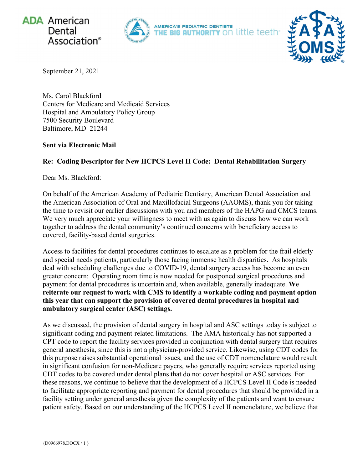# **ADA** American Dental Association<sup>®</sup>





September 21, 2021

Ms. Carol Blackford Centers for Medicare and Medicaid Services Hospital and Ambulatory Policy Group 7500 Security Boulevard Baltimore, MD 21244

## **Sent via Electronic Mail**

# **Re: Coding Descriptor for New HCPCS Level II Code: Dental Rehabilitation Surgery**

Dear Ms. Blackford:

On behalf of the American Academy of Pediatric Dentistry, American Dental Association and the American Association of Oral and Maxillofacial Surgeons (AAOMS), thank you for taking the time to revisit our earlier discussions with you and members of the HAPG and CMCS teams. We very much appreciate your willingness to meet with us again to discuss how we can work together to address the dental community's continued concerns with beneficiary access to covered, facility-based dental surgeries.

Access to facilities for dental procedures continues to escalate as a problem for the frail elderly and special needs patients, particularly those facing immense health disparities. As hospitals deal with scheduling challenges due to COVID-19, dental surgery access has become an even greater concern: Operating room time is now needed for postponed surgical procedures and payment for dental procedures is uncertain and, when available, generally inadequate. **We reiterate our request to work with CMS to identify a workable coding and payment option this year that can support the provision of covered dental procedures in hospital and ambulatory surgical center (ASC) settings.** 

As we discussed, the provision of dental surgery in hospital and ASC settings today is subject to significant coding and payment-related limitations. The AMA historically has not supported a CPT code to report the facility services provided in conjunction with dental surgery that requires general anesthesia, since this is not a physician-provided service. Likewise, using CDT codes for this purpose raises substantial operational issues, and the use of CDT nomenclature would result in significant confusion for non-Medicare payers, who generally require services reported using CDT codes to be covered under dental plans that do not cover hospital or ASC services. For these reasons, we continue to believe that the development of a HCPCS Level II Code is needed to facilitate appropriate reporting and payment for dental procedures that should be provided in a facility setting under general anesthesia given the complexity of the patients and want to ensure patient safety. Based on our understanding of the HCPCS Level II nomenclature, we believe that